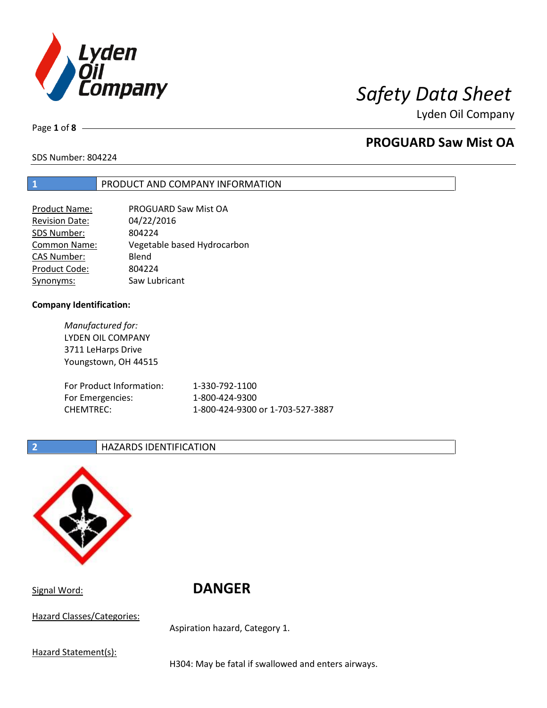

Page **1** of **8**

## **PROGUARD Saw Mist OA**

SDS Number: 804224

## **1** PRODUCT AND COMPANY INFORMATION

| PROGUARD Saw Mist OA        |
|-----------------------------|
| 04/22/2016                  |
| 804224                      |
| Vegetable based Hydrocarbon |
| Blend                       |
| 804224                      |
| Saw Lubricant               |
|                             |

### **Company Identification:**

*Manufactured for:* LYDEN OIL COMPANY 3711 LeHarps Drive Youngstown, OH 44515 For Product Information: 1-330-792-1100 For Emergencies: 1-800-424-9300 CHEMTREC: 1-800-424-9300 or 1-703-527-3887

## **2 HAZARDS IDENTIFICATION**



Signal Word: **DANGER**

Hazard Classes/Categories:

Aspiration hazard, Category 1.

Hazard Statement(s):

H304: May be fatal if swallowed and enters airways.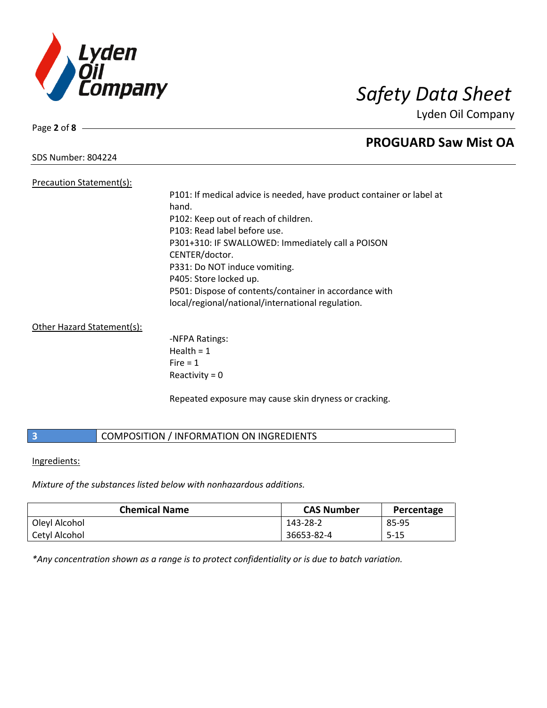

SDS Number: 804224

Page **2** of **8**

## **PROGUARD Saw Mist OA**

Precaution Statement(s):

P101: If medical advice is needed, have product container or label at hand. P102: Keep out of reach of children. P103: Read label before use. P301+310: IF SWALLOWED: Immediately call a POISON CENTER/doctor. P331: Do NOT induce vomiting. P405: Store locked up. P501: Dispose of contents/container in accordance with local/regional/national/international regulation.

Other Hazard Statement(s):

-NFPA Ratings:  $Health = 1$  $Fire = 1$ Reactivity  $= 0$ 

Repeated exposure may cause skin dryness or cracking.

## **3** COMPOSITION / INFORMATION ON INGREDIENTS

Ingredients:

*Mixture of the substances listed below with nonhazardous additions.*

| <b>Chemical Name</b> | <b>CAS Number</b> | Percentage |
|----------------------|-------------------|------------|
| Oleyl Alcohol        | 143-28-2          | 85-95      |
| Cetyl Alcohol        | 36653-82-4        | $5 - 15$   |

*\*Any concentration shown as a range is to protect confidentiality or is due to batch variation.*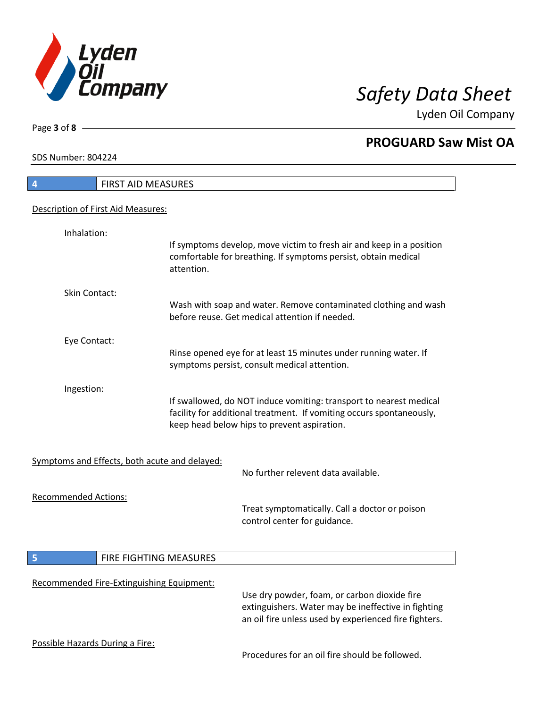

Lyden Oil Company

SDS Number: 804224

Page **3** of **8**

| <b>FIRST AID MEASURES</b><br>4                |            |                                                                                                                                                                                           |
|-----------------------------------------------|------------|-------------------------------------------------------------------------------------------------------------------------------------------------------------------------------------------|
| Description of First Aid Measures:            |            |                                                                                                                                                                                           |
|                                               |            |                                                                                                                                                                                           |
| Inhalation:                                   | attention. | If symptoms develop, move victim to fresh air and keep in a position<br>comfortable for breathing. If symptoms persist, obtain medical                                                    |
| Skin Contact:                                 |            |                                                                                                                                                                                           |
|                                               |            | Wash with soap and water. Remove contaminated clothing and wash<br>before reuse. Get medical attention if needed.                                                                         |
| Eye Contact:                                  |            |                                                                                                                                                                                           |
|                                               |            | Rinse opened eye for at least 15 minutes under running water. If<br>symptoms persist, consult medical attention.                                                                          |
| Ingestion:                                    |            | If swallowed, do NOT induce vomiting: transport to nearest medical<br>facility for additional treatment. If vomiting occurs spontaneously,<br>keep head below hips to prevent aspiration. |
| Symptoms and Effects, both acute and delayed: |            | No further relevent data available.                                                                                                                                                       |
| <b>Recommended Actions:</b>                   |            |                                                                                                                                                                                           |
|                                               |            | Treat symptomatically. Call a doctor or poison<br>control center for guidance.                                                                                                            |
| FIRE FIGHTING MEASURES                        |            |                                                                                                                                                                                           |
|                                               |            |                                                                                                                                                                                           |
| Recommended Fire-Extinguishing Equipment:     |            | Use dry powder, foam, or carbon dioxide fire<br>extinguishers. Water may be ineffective in fighting<br>an oil fire unless used by experienced fire fighters.                              |
| Possible Hazards During a Fire:               |            |                                                                                                                                                                                           |
|                                               |            | Procedures for an oil fire should be followed.                                                                                                                                            |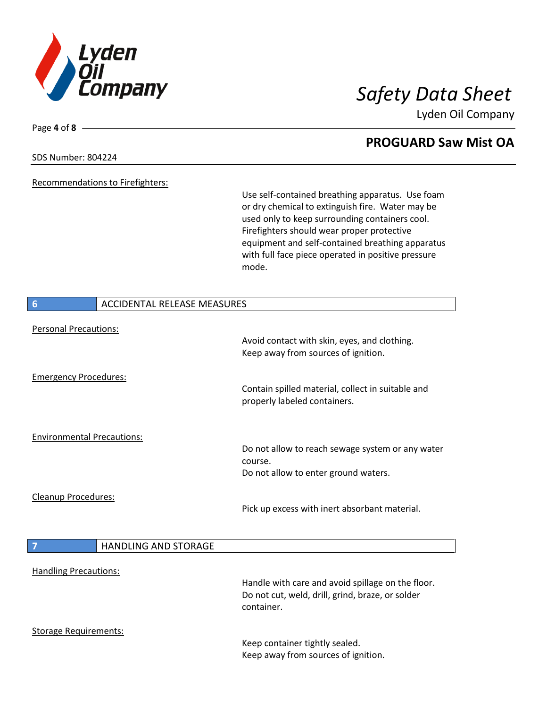

Lyden Oil Company

### SDS Number: 804224

Page **4** of **8**

Recommendations to Firefighters:

Use self-contained breathing apparatus. Use foam or dry chemical to extinguish fire. Water may be used only to keep surrounding containers cool. Firefighters should wear proper protective equipment and self-contained breathing apparatus with full face piece operated in positive pressure mode.

| $6\phantom{1}6$                   | <b>ACCIDENTAL RELEASE MEASURES</b> |                                                                                                                     |
|-----------------------------------|------------------------------------|---------------------------------------------------------------------------------------------------------------------|
| <b>Personal Precautions:</b>      |                                    |                                                                                                                     |
|                                   |                                    | Avoid contact with skin, eyes, and clothing.<br>Keep away from sources of ignition.                                 |
| <b>Emergency Procedures:</b>      |                                    |                                                                                                                     |
|                                   |                                    | Contain spilled material, collect in suitable and<br>properly labeled containers.                                   |
| <b>Environmental Precautions:</b> |                                    |                                                                                                                     |
|                                   |                                    | Do not allow to reach sewage system or any water                                                                    |
|                                   |                                    | course.<br>Do not allow to enter ground waters.                                                                     |
|                                   |                                    |                                                                                                                     |
| <b>Cleanup Procedures:</b>        |                                    | Pick up excess with inert absorbant material.                                                                       |
| $\overline{7}$                    | <b>HANDLING AND STORAGE</b>        |                                                                                                                     |
| <b>Handling Precautions:</b>      |                                    | Handle with care and avoid spillage on the floor.<br>Do not cut, weld, drill, grind, braze, or solder<br>container. |
| <b>Storage Requirements:</b>      |                                    | Keep container tightly sealed.<br>Keep away from sources of ignition.                                               |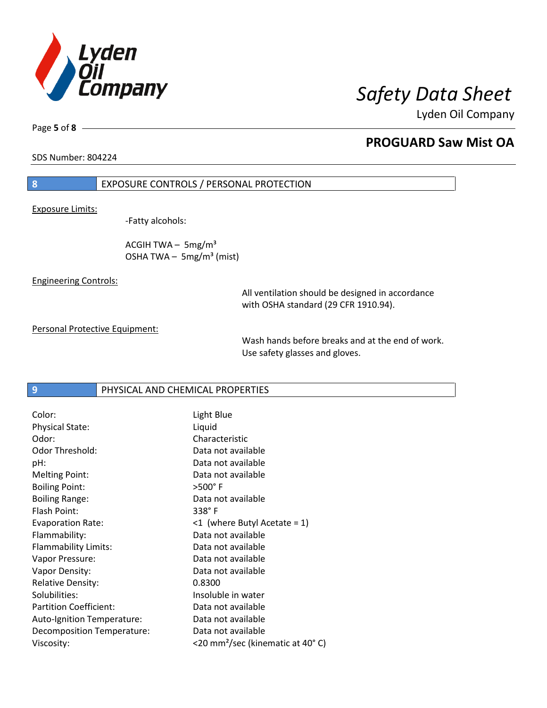

Page **5** of **8**

## **PROGUARD Saw Mist OA**

SDS Number: 804224

## **8** EXPOSURE CONTROLS / PERSONAL PROTECTION

Exposure Limits:

-Fatty alcohols:

ACGIH TWA  $-$  5mg/m<sup>3</sup> OSHA TWA  $-$  5mg/m<sup>3</sup> (mist)

Engineering Controls:

All ventilation should be designed in accordance with OSHA standard (29 CFR 1910.94).

Personal Protective Equipment:

Wash hands before breaks and at the end of work. Use safety glasses and gloves.

### **9** PHYSICAL AND CHEMICAL PROPERTIES

| Color:                        | Light Blue                                   |
|-------------------------------|----------------------------------------------|
| <b>Physical State:</b>        | Liquid                                       |
| Odor:                         | Characteristic                               |
| Odor Threshold:               | Data not available                           |
| pH:                           | Data not available                           |
| <b>Melting Point:</b>         | Data not available                           |
| <b>Boiling Point:</b>         | $>500^\circ$ F                               |
| <b>Boiling Range:</b>         | Data not available                           |
| Flash Point:                  | $338^\circ$ F                                |
| <b>Evaporation Rate:</b>      | $\leq 1$ (where Butyl Acetate = 1)           |
| Flammability:                 | Data not available                           |
| Flammability Limits:          | Data not available                           |
| Vapor Pressure:               | Data not available                           |
| Vapor Density:                | Data not available                           |
| <b>Relative Density:</b>      | 0.8300                                       |
| Solubilities:                 | Insoluble in water                           |
| <b>Partition Coefficient:</b> | Data not available                           |
| Auto-Ignition Temperature:    | Data not available                           |
| Decomposition Temperature:    | Data not available                           |
| Viscosity:                    | <20 mm <sup>2</sup> /sec (kinematic at 40°C) |
|                               |                                              |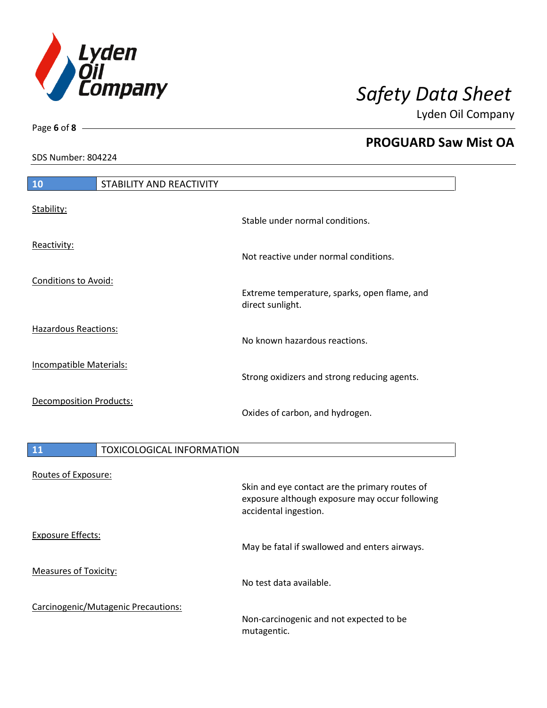

Lyden Oil Company

SDS Number: 804224

# **10** STABILITY AND REACTIVITY Stability: Stable under normal conditions. Reactivity: Not reactive under normal conditions. Conditions to Avoid: Extreme temperature, sparks, open flame, and direct sunlight. Hazardous Reactions: No known hazardous reactions. Incompatible Materials: Strong oxidizers and strong reducing agents. Decomposition Products: Oxides of carbon, and hydrogen.

## 11 **TOXICOLOGICAL INFORMATION** Routes of Exposure: Skin and eye contact are the primary routes of exposure although exposure may occur following accidental ingestion. Exposure Effects: May be fatal if swallowed and enters airways. Measures of Toxicity: No test data available. Carcinogenic/Mutagenic Precautions: Non-carcinogenic and not expected to be mutagentic.

Page **6** of **8**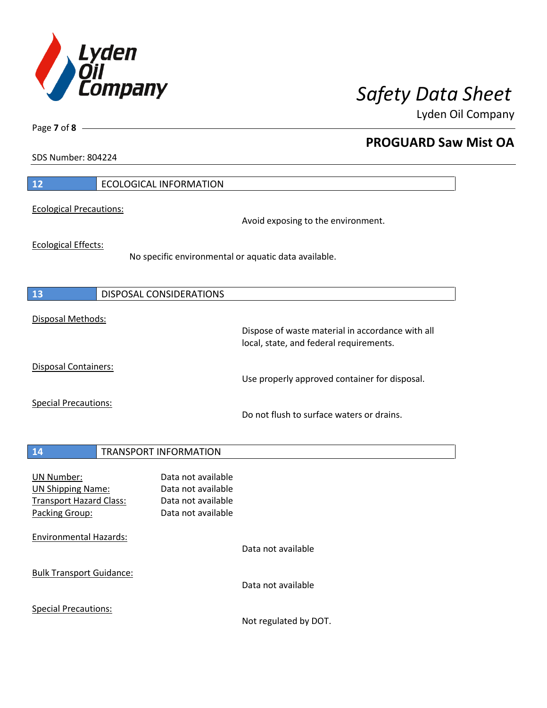

Lyden Oil Company

SDS Number: 804224

Page **7** of **8**

| 12                                                                                                | <b>ECOLOGICAL INFORMATION</b>                                                               |
|---------------------------------------------------------------------------------------------------|---------------------------------------------------------------------------------------------|
| <b>Ecological Precautions:</b>                                                                    | Avoid exposing to the environment.                                                          |
| <b>Ecological Effects:</b>                                                                        | No specific environmental or aquatic data available.                                        |
| 13                                                                                                | DISPOSAL CONSIDERATIONS                                                                     |
| Disposal Methods:                                                                                 | Dispose of waste material in accordance with all<br>local, state, and federal requirements. |
| Disposal Containers:                                                                              | Use properly approved container for disposal.                                               |
| <b>Special Precautions:</b>                                                                       | Do not flush to surface waters or drains.                                                   |
| 14                                                                                                | <b>TRANSPORT INFORMATION</b>                                                                |
| <b>UN Number:</b><br><b>UN Shipping Name:</b><br><b>Transport Hazard Class:</b><br>Packing Group: | Data not available<br>Data not available<br>Data not available<br>Data not available        |
| <b>Environmental Hazards:</b>                                                                     | Data not available                                                                          |
| <b>Bulk Transport Guidance:</b>                                                                   | Data not available                                                                          |
| <b>Special Precautions:</b>                                                                       |                                                                                             |

Not regulated by DOT.